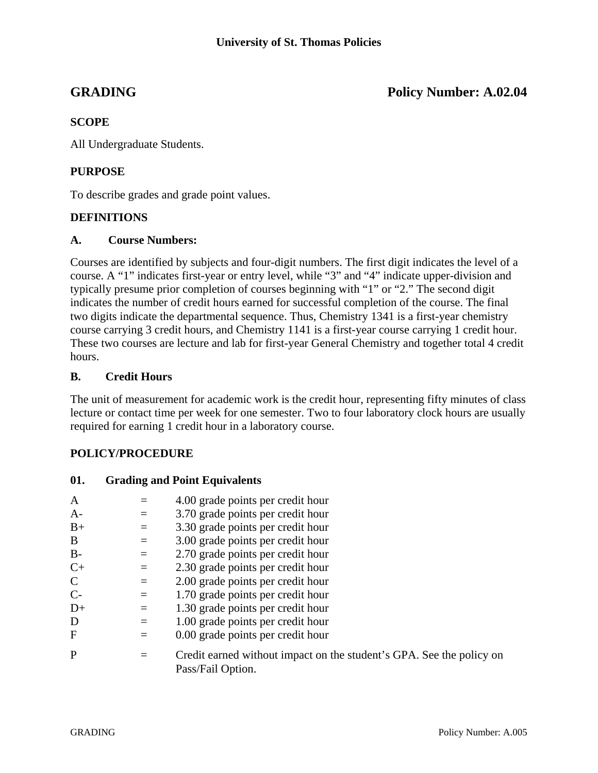**GRADING Policy Number: A.02.04** 

# **SCOPE**

All Undergraduate Students.

# **PURPOSE**

To describe grades and grade point values.

## **DEFINITIONS**

#### **A. Course Numbers:**

Courses are identified by subjects and four-digit numbers. The first digit indicates the level of a course. A "1" indicates first-year or entry level, while "3" and "4" indicate upper-division and typically presume prior completion of courses beginning with "1" or "2." The second digit indicates the number of credit hours earned for successful completion of the course. The final two digits indicate the departmental sequence. Thus, Chemistry 1341 is a first-year chemistry course carrying 3 credit hours, and Chemistry 1141 is a first-year course carrying 1 credit hour. These two courses are lecture and lab for first-year General Chemistry and together total 4 credit hours.

## **B. Credit Hours**

The unit of measurement for academic work is the credit hour, representing fifty minutes of class lecture or contact time per week for one semester. Two to four laboratory clock hours are usually required for earning 1 credit hour in a laboratory course.

# **POLICY/PROCEDURE**

**01. Grading and Point Equivalents** 

| A             |          | 4.00 grade points per credit hour                                                         |
|---------------|----------|-------------------------------------------------------------------------------------------|
| $A-$          |          | 3.70 grade points per credit hour                                                         |
| $B+$          | $=$      | 3.30 grade points per credit hour                                                         |
| B             | $\equiv$ | 3.00 grade points per credit hour                                                         |
| $B -$         | $=$      | 2.70 grade points per credit hour                                                         |
| $C+$          | $=$      | 2.30 grade points per credit hour                                                         |
| $\mathcal{C}$ | $=$      | 2.00 grade points per credit hour                                                         |
| $C-$          | $=$      | 1.70 grade points per credit hour                                                         |
| $D+$          | $=$      | 1.30 grade points per credit hour                                                         |
| D             | $=$      | 1.00 grade points per credit hour                                                         |
| $\mathbf F$   |          | 0.00 grade points per credit hour                                                         |
| P             |          | Credit earned without impact on the student's GPA. See the policy on<br>Pass/Fail Option. |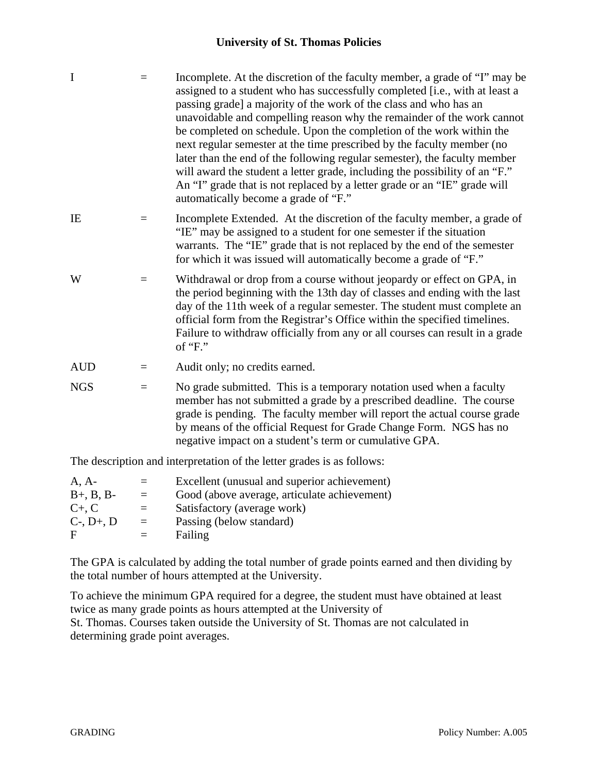## **University of St. Thomas Policies**

| $\mathbf I$                                                            | $=$      | Incomplete. At the discretion of the faculty member, a grade of "I" may be<br>assigned to a student who has successfully completed [i.e., with at least a<br>passing grade] a majority of the work of the class and who has an<br>unavoidable and compelling reason why the remainder of the work cannot<br>be completed on schedule. Upon the completion of the work within the<br>next regular semester at the time prescribed by the faculty member (no<br>later than the end of the following regular semester), the faculty member<br>will award the student a letter grade, including the possibility of an "F."<br>An "I" grade that is not replaced by a letter grade or an "IE" grade will<br>automatically become a grade of "F." |  |  |  |
|------------------------------------------------------------------------|----------|---------------------------------------------------------------------------------------------------------------------------------------------------------------------------------------------------------------------------------------------------------------------------------------------------------------------------------------------------------------------------------------------------------------------------------------------------------------------------------------------------------------------------------------------------------------------------------------------------------------------------------------------------------------------------------------------------------------------------------------------|--|--|--|
| IE                                                                     | $=$      | Incomplete Extended. At the discretion of the faculty member, a grade of<br>"IE" may be assigned to a student for one semester if the situation<br>warrants. The "IE" grade that is not replaced by the end of the semester<br>for which it was issued will automatically become a grade of "F."                                                                                                                                                                                                                                                                                                                                                                                                                                            |  |  |  |
| W                                                                      | $\equiv$ | Withdrawal or drop from a course without jeopardy or effect on GPA, in<br>the period beginning with the 13th day of classes and ending with the last<br>day of the 11th week of a regular semester. The student must complete an<br>official form from the Registrar's Office within the specified timelines.<br>Failure to withdraw officially from any or all courses can result in a grade<br>of " $F$ ."                                                                                                                                                                                                                                                                                                                                |  |  |  |
| <b>AUD</b>                                                             | $=$      | Audit only; no credits earned.                                                                                                                                                                                                                                                                                                                                                                                                                                                                                                                                                                                                                                                                                                              |  |  |  |
| <b>NGS</b>                                                             | $=$      | No grade submitted. This is a temporary notation used when a faculty<br>member has not submitted a grade by a prescribed deadline. The course<br>grade is pending. The faculty member will report the actual course grade<br>by means of the official Request for Grade Change Form. NGS has no<br>negative impact on a student's term or cumulative GPA.                                                                                                                                                                                                                                                                                                                                                                                   |  |  |  |
| The description and interpretation of the letter grades is as follows: |          |                                                                                                                                                                                                                                                                                                                                                                                                                                                                                                                                                                                                                                                                                                                                             |  |  |  |
| $A, A-$<br>ת מות                                                       | $=$      | Excellent (unusual and superior achievement)<br>Cool (above evening entimilate sobjevement)                                                                                                                                                                                                                                                                                                                                                                                                                                                                                                                                                                                                                                                 |  |  |  |

| $B+, B, B-$       | $=$ | Good (above average, articulate achievement) |
|-------------------|-----|----------------------------------------------|
| $C_{+}$ , $C_{-}$ | $=$ | Satisfactory (average work)                  |
| $C-, D+, D$       | $=$ | Passing (below standard)                     |
| F                 | $=$ | Failing                                      |
|                   |     |                                              |

The GPA is calculated by adding the total number of grade points earned and then dividing by the total number of hours attempted at the University.

To achieve the minimum GPA required for a degree, the student must have obtained at least twice as many grade points as hours attempted at the University of St. Thomas. Courses taken outside the University of St. Thomas are not calculated in determining grade point averages.